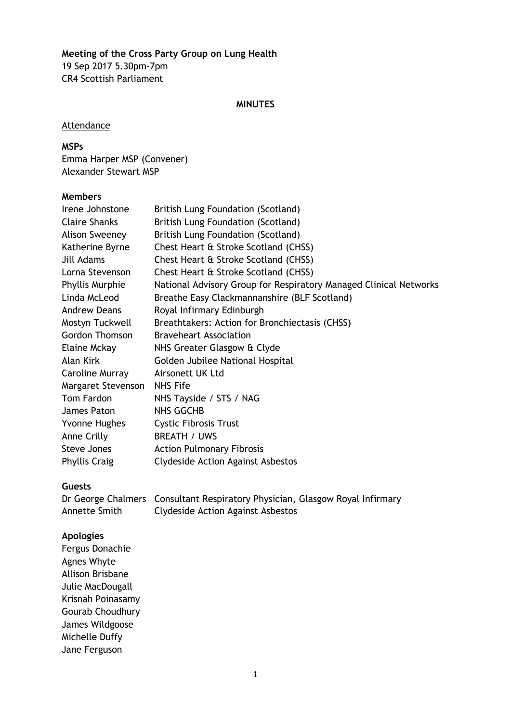### **Meeting of the Cross Party Group on Lung Health** 19 Sep 2017 5.30pm-7pm CR4 Scottish Parliament

#### **MINUTES**

#### **Attendance**

## **MSPs**

Emma Harper MSP (Convener) Alexander Stewart MSP

### **Members**

| Irene Johnstone        | British Lung Foundation (Scotland)                                |
|------------------------|-------------------------------------------------------------------|
| <b>Claire Shanks</b>   | British Lung Foundation (Scotland)                                |
| Alison Sweeney         | British Lung Foundation (Scotland)                                |
| Katherine Byrne        | Chest Heart & Stroke Scotland (CHSS)                              |
| Jill Adams             | Chest Heart & Stroke Scotland (CHSS)                              |
| Lorna Stevenson        | Chest Heart & Stroke Scotland (CHSS)                              |
| <b>Phyllis Murphie</b> | National Advisory Group for Respiratory Managed Clinical Networks |
| Linda McLeod           | Breathe Easy Clackmannanshire (BLF Scotland)                      |
| <b>Andrew Deans</b>    | Royal Infirmary Edinburgh                                         |
| Mostyn Tuckwell        | Breathtakers: Action for Bronchiectasis (CHSS)                    |
| <b>Gordon Thomson</b>  | <b>Braveheart Association</b>                                     |
| Elaine Mckay           | NHS Greater Glasgow & Clyde                                       |
| Alan Kirk              | Golden Jubilee National Hospital                                  |
| Caroline Murray        | Airsonett UK Ltd                                                  |
| Margaret Stevenson     | <b>NHS Fife</b>                                                   |
| Tom Fardon             | NHS Tayside / STS / NAG                                           |
| James Paton            | <b>NHS GGCHB</b>                                                  |
| Yvonne Hughes          | <b>Cystic Fibrosis Trust</b>                                      |
| Anne Crilly            | <b>BREATH / UWS</b>                                               |
| Steve Jones            | <b>Action Pulmonary Fibrosis</b>                                  |
| <b>Phyllis Craig</b>   | <b>Clydeside Action Against Asbestos</b>                          |

#### **Guests**

Dr George Chalmers Consultant Respiratory Physician, Glasgow Royal Infirmary Annette Smith Clydeside Action Against Asbestos

#### **Apologies**

Fergus Donachie Agnes Whyte Allison Brisbane Julie MacDougall Krisnah Poinasamy Gourab Choudhury James Wildgoose Michelle Duffy Jane Ferguson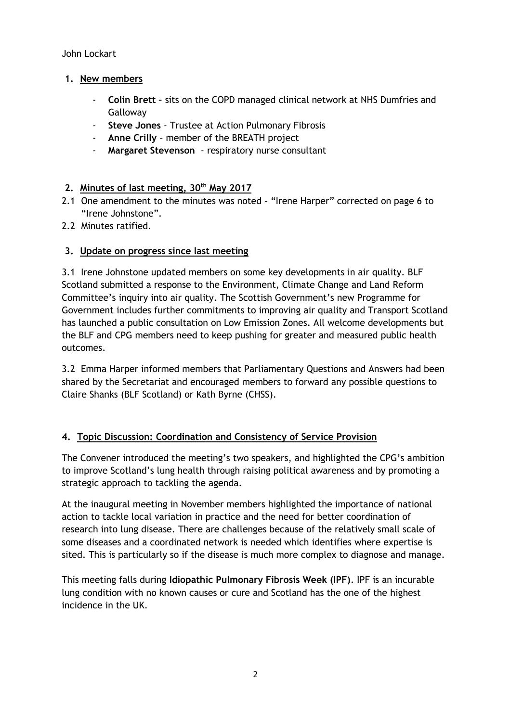John Lockart

### **1. New members**

- **Colin Brett –** sits on the COPD managed clinical network at NHS Dumfries and **Galloway**
- **Steve Jones** Trustee at Action Pulmonary Fibrosis
- **Anne Crilly** member of the BREATH project
- **Margaret Stevenson**  respiratory nurse consultant

### **2. Minutes of last meeting, 30th May 2017**

- 2.1 One amendment to the minutes was noted "Irene Harper" corrected on page 6 to "Irene Johnstone".
- 2.2 Minutes ratified.

### **3. Update on progress since last meeting**

3.1 Irene Johnstone updated members on some key developments in air quality. BLF Scotland submitted a response to the Environment, Climate Change and Land Reform Committee's inquiry into air quality. The Scottish Government's new Programme for Government includes further commitments to improving air quality and Transport Scotland has launched a public consultation on Low Emission Zones. All welcome developments but the BLF and CPG members need to keep pushing for greater and measured public health outcomes.

3.2 Emma Harper informed members that Parliamentary Questions and Answers had been shared by the Secretariat and encouraged members to forward any possible questions to Claire Shanks (BLF Scotland) or Kath Byrne (CHSS).

### **4. Topic Discussion: Coordination and Consistency of Service Provision**

The Convener introduced the meeting's two speakers, and highlighted the CPG's ambition to improve Scotland's lung health through raising political awareness and by promoting a strategic approach to tackling the agenda.

At the inaugural meeting in November members highlighted the importance of national action to tackle local variation in practice and the need for better coordination of research into lung disease. There are challenges because of the relatively small scale of some diseases and a coordinated network is needed which identifies where expertise is sited. This is particularly so if the disease is much more complex to diagnose and manage.

This meeting falls during **Idiopathic Pulmonary Fibrosis Week (IPF)**. IPF is an incurable lung condition with no known causes or cure and Scotland has the one of the highest incidence in the UK.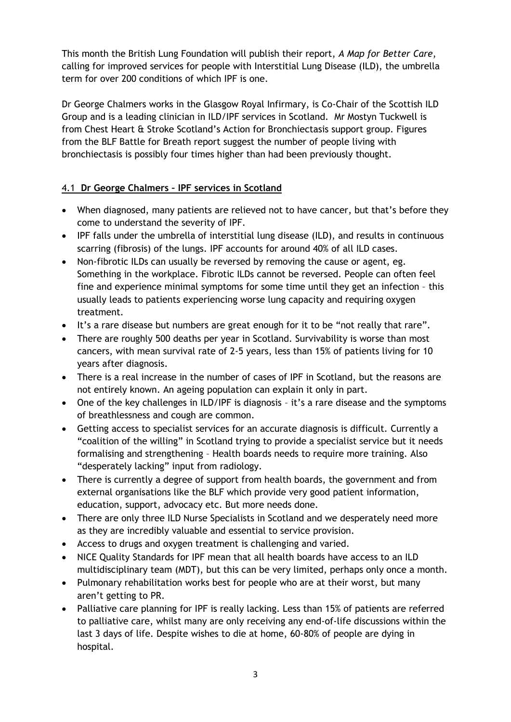This month the British Lung Foundation will publish their report, *A Map for Better Care*, calling for improved services for people with Interstitial Lung Disease (ILD), the umbrella term for over 200 conditions of which IPF is one.

Dr George Chalmers works in the Glasgow Royal Infirmary, is Co-Chair of the Scottish ILD Group and is a leading clinician in ILD/IPF services in Scotland. Mr Mostyn Tuckwell is from Chest Heart & Stroke Scotland's Action for Bronchiectasis support group. Figures from the BLF Battle for Breath report suggest the number of people living with bronchiectasis is possibly four times higher than had been previously thought.

## 4.1 **Dr George Chalmers – IPF services in Scotland**

- When diagnosed, many patients are relieved not to have cancer, but that's before they come to understand the severity of IPF.
- IPF falls under the umbrella of interstitial lung disease (ILD), and results in continuous scarring (fibrosis) of the lungs. IPF accounts for around 40% of all ILD cases.
- Non-fibrotic ILDs can usually be reversed by removing the cause or agent, eg. Something in the workplace. Fibrotic ILDs cannot be reversed. People can often feel fine and experience minimal symptoms for some time until they get an infection – this usually leads to patients experiencing worse lung capacity and requiring oxygen treatment.
- It's a rare disease but numbers are great enough for it to be "not really that rare".
- There are roughly 500 deaths per year in Scotland. Survivability is worse than most cancers, with mean survival rate of 2-5 years, less than 15% of patients living for 10 years after diagnosis.
- There is a real increase in the number of cases of IPF in Scotland, but the reasons are not entirely known. An ageing population can explain it only in part.
- One of the key challenges in ILD/IPF is diagnosis it's a rare disease and the symptoms of breathlessness and cough are common.
- Getting access to specialist services for an accurate diagnosis is difficult. Currently a "coalition of the willing" in Scotland trying to provide a specialist service but it needs formalising and strengthening – Health boards needs to require more training. Also "desperately lacking" input from radiology.
- There is currently a degree of support from health boards, the government and from external organisations like the BLF which provide very good patient information, education, support, advocacy etc. But more needs done.
- There are only three ILD Nurse Specialists in Scotland and we desperately need more as they are incredibly valuable and essential to service provision.
- Access to drugs and oxygen treatment is challenging and varied.
- NICE Quality Standards for IPF mean that all health boards have access to an ILD multidisciplinary team (MDT), but this can be very limited, perhaps only once a month.
- Pulmonary rehabilitation works best for people who are at their worst, but many aren't getting to PR.
- Palliative care planning for IPF is really lacking. Less than 15% of patients are referred to palliative care, whilst many are only receiving any end-of-life discussions within the last 3 days of life. Despite wishes to die at home, 60-80% of people are dying in hospital.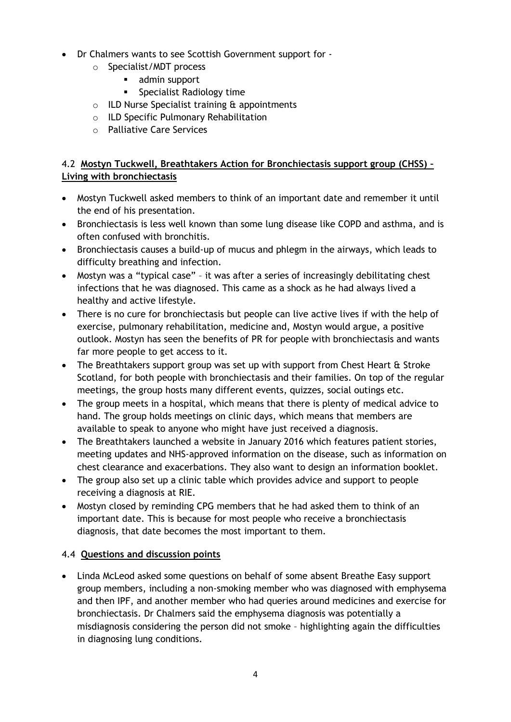- Dr Chalmers wants to see Scottish Government support for
	- o Specialist/MDT process
		- **admin support**
		- **Specialist Radiology time**
	- $\circ$  ILD Nurse Specialist training  $\alpha$  appointments
	- o ILD Specific Pulmonary Rehabilitation
	- o Palliative Care Services

## 4.2 **Mostyn Tuckwell, Breathtakers Action for Bronchiectasis support group (CHSS) – Living with bronchiectasis**

- Mostyn Tuckwell asked members to think of an important date and remember it until the end of his presentation.
- Bronchiectasis is less well known than some lung disease like COPD and asthma, and is often confused with bronchitis.
- Bronchiectasis causes a build-up of mucus and phlegm in the airways, which leads to difficulty breathing and infection.
- Mostyn was a "typical case" it was after a series of increasingly debilitating chest infections that he was diagnosed. This came as a shock as he had always lived a healthy and active lifestyle.
- There is no cure for bronchiectasis but people can live active lives if with the help of exercise, pulmonary rehabilitation, medicine and, Mostyn would argue, a positive outlook. Mostyn has seen the benefits of PR for people with bronchiectasis and wants far more people to get access to it.
- The Breathtakers support group was set up with support from Chest Heart & Stroke Scotland, for both people with bronchiectasis and their families. On top of the regular meetings, the group hosts many different events, quizzes, social outings etc.
- The group meets in a hospital, which means that there is plenty of medical advice to hand. The group holds meetings on clinic days, which means that members are available to speak to anyone who might have just received a diagnosis.
- The Breathtakers launched a website in January 2016 which features patient stories, meeting updates and NHS-approved information on the disease, such as information on chest clearance and exacerbations. They also want to design an information booklet.
- The group also set up a clinic table which provides advice and support to people receiving a diagnosis at RIE.
- Mostyn closed by reminding CPG members that he had asked them to think of an important date. This is because for most people who receive a bronchiectasis diagnosis, that date becomes the most important to them.

# 4.4 **Questions and discussion points**

 Linda McLeod asked some questions on behalf of some absent Breathe Easy support group members, including a non-smoking member who was diagnosed with emphysema and then IPF, and another member who had queries around medicines and exercise for bronchiectasis. Dr Chalmers said the emphysema diagnosis was potentially a misdiagnosis considering the person did not smoke – highlighting again the difficulties in diagnosing lung conditions.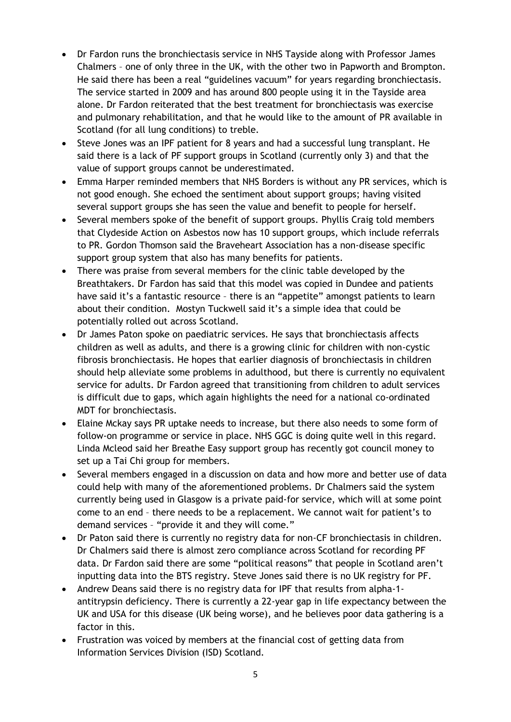- Dr Fardon runs the bronchiectasis service in NHS Tayside along with Professor James Chalmers – one of only three in the UK, with the other two in Papworth and Brompton. He said there has been a real "guidelines vacuum" for years regarding bronchiectasis. The service started in 2009 and has around 800 people using it in the Tayside area alone. Dr Fardon reiterated that the best treatment for bronchiectasis was exercise and pulmonary rehabilitation, and that he would like to the amount of PR available in Scotland (for all lung conditions) to treble.
- Steve Jones was an IPF patient for 8 years and had a successful lung transplant. He said there is a lack of PF support groups in Scotland (currently only 3) and that the value of support groups cannot be underestimated.
- Emma Harper reminded members that NHS Borders is without any PR services, which is not good enough. She echoed the sentiment about support groups; having visited several support groups she has seen the value and benefit to people for herself.
- Several members spoke of the benefit of support groups. Phyllis Craig told members that Clydeside Action on Asbestos now has 10 support groups, which include referrals to PR. Gordon Thomson said the Braveheart Association has a non-disease specific support group system that also has many benefits for patients.
- There was praise from several members for the clinic table developed by the Breathtakers. Dr Fardon has said that this model was copied in Dundee and patients have said it's a fantastic resource - there is an "appetite" amongst patients to learn about their condition. Mostyn Tuckwell said it's a simple idea that could be potentially rolled out across Scotland.
- Dr James Paton spoke on paediatric services. He says that bronchiectasis affects children as well as adults, and there is a growing clinic for children with non-cystic fibrosis bronchiectasis. He hopes that earlier diagnosis of bronchiectasis in children should help alleviate some problems in adulthood, but there is currently no equivalent service for adults. Dr Fardon agreed that transitioning from children to adult services is difficult due to gaps, which again highlights the need for a national co-ordinated MDT for bronchiectasis.
- Elaine Mckay says PR uptake needs to increase, but there also needs to some form of follow-on programme or service in place. NHS GGC is doing quite well in this regard. Linda Mcleod said her Breathe Easy support group has recently got council money to set up a Tai Chi group for members.
- Several members engaged in a discussion on data and how more and better use of data could help with many of the aforementioned problems. Dr Chalmers said the system currently being used in Glasgow is a private paid-for service, which will at some point come to an end – there needs to be a replacement. We cannot wait for patient's to demand services – "provide it and they will come."
- Dr Paton said there is currently no registry data for non-CF bronchiectasis in children. Dr Chalmers said there is almost zero compliance across Scotland for recording PF data. Dr Fardon said there are some "political reasons" that people in Scotland aren't inputting data into the BTS registry. Steve Jones said there is no UK registry for PF.
- Andrew Deans said there is no registry data for IPF that results from alpha-1 antitrypsin deficiency. There is currently a 22-year gap in life expectancy between the UK and USA for this disease (UK being worse), and he believes poor data gathering is a factor in this.
- Frustration was voiced by members at the financial cost of getting data from Information Services Division (ISD) Scotland.